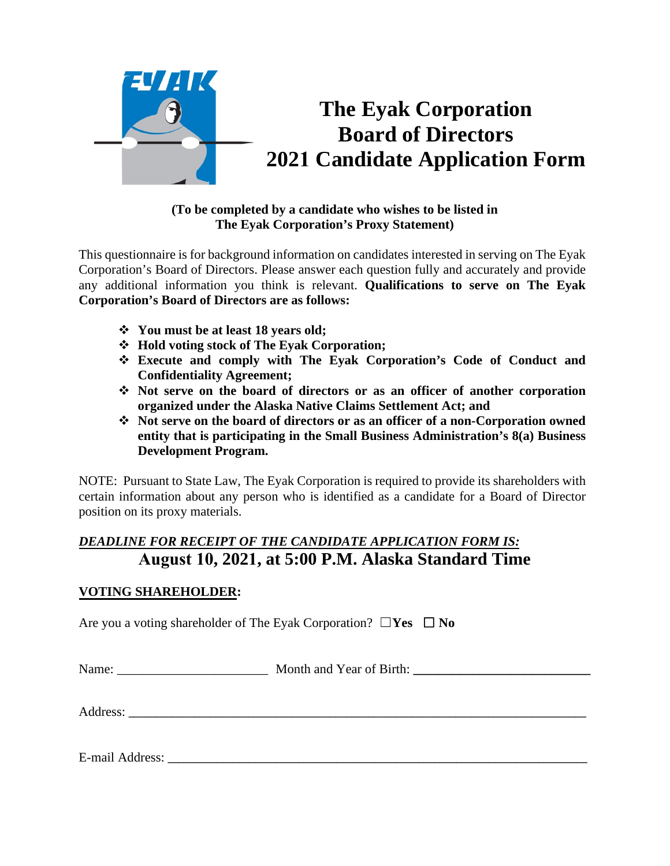

#### **(To be completed by a candidate who wishes to be listed in The Eyak Corporation's Proxy Statement)**

This questionnaire is for background information on candidates interested in serving on The Eyak Corporation's Board of Directors. Please answer each question fully and accurately and provide any additional information you think is relevant. **Qualifications to serve on The Eyak Corporation's Board of Directors are as follows:** 

- **You must be at least 18 years old;**
- **Hold voting stock of The Eyak Corporation;**
- **Execute and comply with The Eyak Corporation's Code of Conduct and Confidentiality Agreement;**
- **Not serve on the board of directors or as an officer of another corporation organized under the Alaska Native Claims Settlement Act; and**
- **Not serve on the board of directors or as an officer of a non-Corporation owned entity that is participating in the Small Business Administration's 8(a) Business Development Program.**

NOTE: Pursuant to State Law, The Eyak Corporation is required to provide its shareholders with certain information about any person who is identified as a candidate for a Board of Director position on its proxy materials.

## *DEADLINE FOR RECEIPT OF THE CANDIDATE APPLICATION FORM IS:* **August 10, 2021, at 5:00 P.M. Alaska Standard Time**

## **VOTING SHAREHOLDER:**

Are you a voting shareholder of The Eyak Corporation? ☐**Yes** ☐ **No**

Name: Month and Year of Birth:

Address: **\_\_\_\_\_\_\_\_\_\_\_\_\_\_\_\_\_\_\_\_\_\_\_\_\_\_\_\_\_\_\_\_\_\_\_\_\_\_\_\_\_\_\_\_\_\_\_\_\_\_\_\_\_\_\_\_\_\_\_\_\_\_\_\_\_\_\_\_\_\_\_\_\_\_\_\_\_\_\_\_\_\_\_\_**

E-mail Address: **\_\_\_\_\_\_\_\_\_\_\_\_\_\_\_\_\_\_\_\_\_\_\_\_\_\_\_\_\_\_\_\_\_\_\_\_\_\_\_\_\_\_\_\_\_\_\_\_\_\_\_\_\_\_\_\_\_\_\_\_\_\_\_\_\_\_\_\_\_\_\_\_\_\_\_\_\_**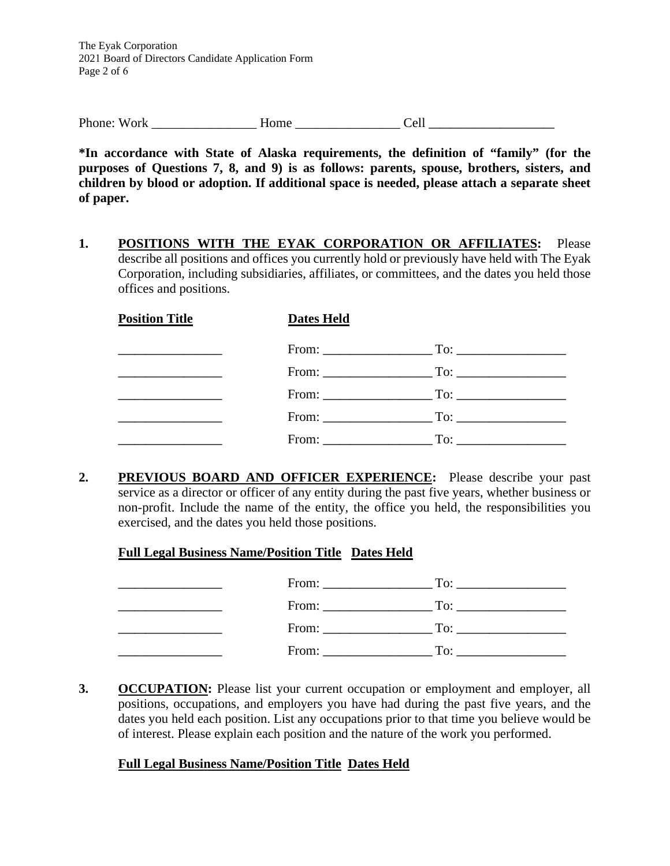The Eyak Corporation 2021 Board of Directors Candidate Application Form Page 2 of 6

Phone: Work \_\_\_\_\_\_\_\_\_\_\_\_\_\_\_\_ Home \_\_\_\_\_\_\_\_\_\_\_\_\_\_\_\_ Cell **\_\_\_\_\_\_\_\_\_\_\_\_\_\_\_\_\_\_\_\_\_\_\_**

**\*In accordance with State of Alaska requirements, the definition of "family" (for the purposes of Questions 7, 8, and 9) is as follows: parents, spouse, brothers, sisters, and children by blood or adoption. If additional space is needed, please attach a separate sheet of paper.**

**1. POSITIONS WITH THE EYAK CORPORATION OR AFFILIATES:** Please describe all positions and offices you currently hold or previously have held with The Eyak Corporation, including subsidiaries, affiliates, or committees, and the dates you held those offices and positions.

| <b>Position Title</b> | <b>Dates Held</b> |                                  |
|-----------------------|-------------------|----------------------------------|
|                       |                   | From: $\qquad \qquad \text{To:}$ |
|                       |                   |                                  |
|                       |                   |                                  |
|                       |                   |                                  |
|                       |                   |                                  |

**2. PREVIOUS BOARD AND OFFICER EXPERIENCE:** Please describe your past service as a director or officer of any entity during the past five years, whether business or non-profit. Include the name of the entity, the office you held, the responsibilities you exercised, and the dates you held those positions.

#### **Full Legal Business Name/Position Title Dates Held**

| From: | To: |
|-------|-----|
| From: |     |
|       |     |
| From: | To: |

**3. OCCUPATION:** Please list your current occupation or employment and employer, all positions, occupations, and employers you have had during the past five years, and the dates you held each position. List any occupations prior to that time you believe would be of interest. Please explain each position and the nature of the work you performed.

#### **Full Legal Business Name/Position Title Dates Held**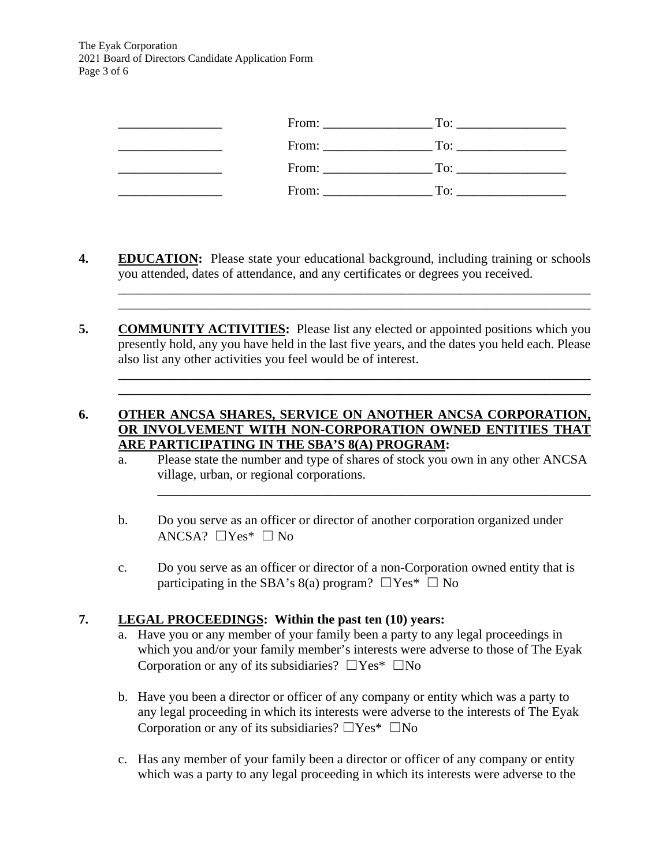| $From: \_\_\_\_\_\_\_$ | To:<br>the control of the control of the control of |
|------------------------|-----------------------------------------------------|
|                        | To:                                                 |
| From: To:              |                                                     |
| From:                  | To:                                                 |

**4. EDUCATION:** Please state your educational background, including training or schools you attended, dates of attendance, and any certificates or degrees you received.

\_\_\_\_\_\_\_\_\_\_\_\_\_\_\_\_\_\_\_\_\_\_\_\_\_\_\_\_\_\_\_\_\_\_\_\_\_\_\_\_\_\_\_\_\_\_\_\_\_\_\_\_\_\_\_\_\_\_\_\_\_\_\_\_\_\_\_\_\_\_\_\_ \_\_\_\_\_\_\_\_\_\_\_\_\_\_\_\_\_\_\_\_\_\_\_\_\_\_\_\_\_\_\_\_\_\_\_\_\_\_\_\_\_\_\_\_\_\_\_\_\_\_\_\_\_\_\_\_\_\_\_\_\_\_\_\_\_\_\_\_\_\_\_\_

**\_\_\_\_\_\_\_\_\_\_\_\_\_\_\_\_\_\_\_\_\_\_\_\_\_\_\_\_\_\_\_\_\_\_\_\_\_\_\_\_\_\_\_\_\_\_\_\_\_\_\_\_\_\_\_\_\_\_\_\_\_\_\_\_\_\_\_\_\_\_\_\_ \_\_\_\_\_\_\_\_\_\_\_\_\_\_\_\_\_\_\_\_\_\_\_\_\_\_\_\_\_\_\_\_\_\_\_\_\_\_\_\_\_\_\_\_\_\_\_\_\_\_\_\_\_\_\_\_\_\_\_\_\_\_\_\_\_\_\_\_\_\_\_\_**

**5. COMMUNITY ACTIVITIES:** Please list any elected or appointed positions which you presently hold, any you have held in the last five years, and the dates you held each. Please also list any other activities you feel would be of interest.

### **6. OTHER ANCSA SHARES, SERVICE ON ANOTHER ANCSA CORPORATION, OR INVOLVEMENT WITH NON-CORPORATION OWNED ENTITIES THAT ARE PARTICIPATING IN THE SBA'S 8(A) PROGRAM:**

a. Please state the number and type of shares of stock you own in any other ANCSA village, urban, or regional corporations.

\_\_\_\_\_\_\_\_\_\_\_\_\_\_\_\_\_\_\_\_\_\_\_\_\_\_\_\_\_\_\_\_\_\_\_\_\_\_\_\_\_\_\_\_\_\_\_\_\_\_\_\_\_\_\_\_\_\_\_\_\_\_\_\_\_\_

- b. Do you serve as an officer or director of another corporation organized under ANCSA?  $\Box$ Yes\*  $\Box$  No
- c. Do you serve as an officer or director of a non-Corporation owned entity that is participating in the SBA's 8(a) program?  $\Box$ Yes\*  $\Box$  No

## **7. LEGAL PROCEEDINGS: Within the past ten (10) years:**

- a. Have you or any member of your family been a party to any legal proceedings in which you and/or your family member's interests were adverse to those of The Eyak Corporation or any of its subsidiaries?  $\Box$ Yes\*  $\Box$ No
- b. Have you been a director or officer of any company or entity which was a party to any legal proceeding in which its interests were adverse to the interests of The Eyak Corporation or any of its subsidiaries?  $\Box$ Yes\*  $\Box$ No
- c. Has any member of your family been a director or officer of any company or entity which was a party to any legal proceeding in which its interests were adverse to the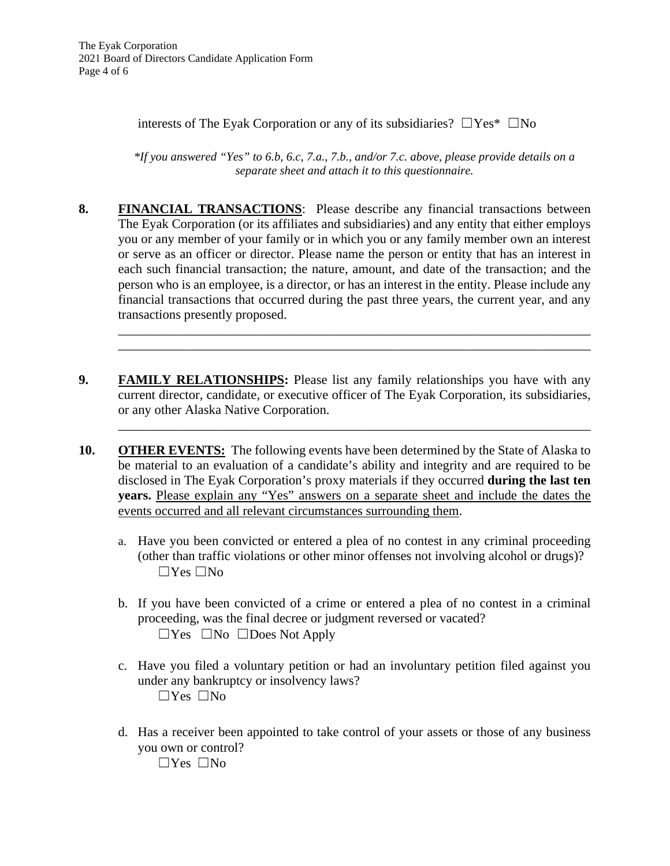interests of The Eyak Corporation or any of its subsidiaries?  $\Box$  Yes\*  $\Box$  No

*\*If you answered "Yes" to 6.b, 6.c, 7.a., 7.b., and/or 7.c. above, please provide details on a separate sheet and attach it to this questionnaire.*

- **8. FINANCIAL TRANSACTIONS**: Please describe any financial transactions between The Eyak Corporation (or its affiliates and subsidiaries) and any entity that either employs you or any member of your family or in which you or any family member own an interest or serve as an officer or director. Please name the person or entity that has an interest in each such financial transaction; the nature, amount, and date of the transaction; and the person who is an employee, is a director, or has an interest in the entity. Please include any financial transactions that occurred during the past three years, the current year, and any transactions presently proposed.
- **9. FAMILY RELATIONSHIPS:** Please list any family relationships you have with any current director, candidate, or executive officer of The Eyak Corporation, its subsidiaries, or any other Alaska Native Corporation.

\_\_\_\_\_\_\_\_\_\_\_\_\_\_\_\_\_\_\_\_\_\_\_\_\_\_\_\_\_\_\_\_\_\_\_\_\_\_\_\_\_\_\_\_\_\_\_\_\_\_\_\_\_\_\_\_\_\_\_\_\_\_\_\_\_\_\_\_\_\_\_\_ \_\_\_\_\_\_\_\_\_\_\_\_\_\_\_\_\_\_\_\_\_\_\_\_\_\_\_\_\_\_\_\_\_\_\_\_\_\_\_\_\_\_\_\_\_\_\_\_\_\_\_\_\_\_\_\_\_\_\_\_\_\_\_\_\_\_\_\_\_\_\_\_

\_\_\_\_\_\_\_\_\_\_\_\_\_\_\_\_\_\_\_\_\_\_\_\_\_\_\_\_\_\_\_\_\_\_\_\_\_\_\_\_\_\_\_\_\_\_\_\_\_\_\_\_\_\_\_\_\_\_\_\_\_\_\_\_\_\_\_\_\_\_\_\_

- **10. OTHER EVENTS:** The following events have been determined by the State of Alaska to be material to an evaluation of a candidate's ability and integrity and are required to be disclosed in The Eyak Corporation's proxy materials if they occurred **during the last ten years.** Please explain any "Yes" answers on a separate sheet and include the dates the events occurred and all relevant circumstances surrounding them.
	- a. Have you been convicted or entered a plea of no contest in any criminal proceeding (other than traffic violations or other minor offenses not involving alcohol or drugs)? ☐Yes ☐No
	- b. If you have been convicted of a crime or entered a plea of no contest in a criminal proceeding, was the final decree or judgment reversed or vacated?  $\Box$ Yes  $\Box$ No  $\Box$ Does Not Apply
	- c. Have you filed a voluntary petition or had an involuntary petition filed against you under any bankruptcy or insolvency laws? ☐Yes ☐No
	- d. Has a receiver been appointed to take control of your assets or those of any business you own or control?

 $\Box$ Yes  $\Box$ No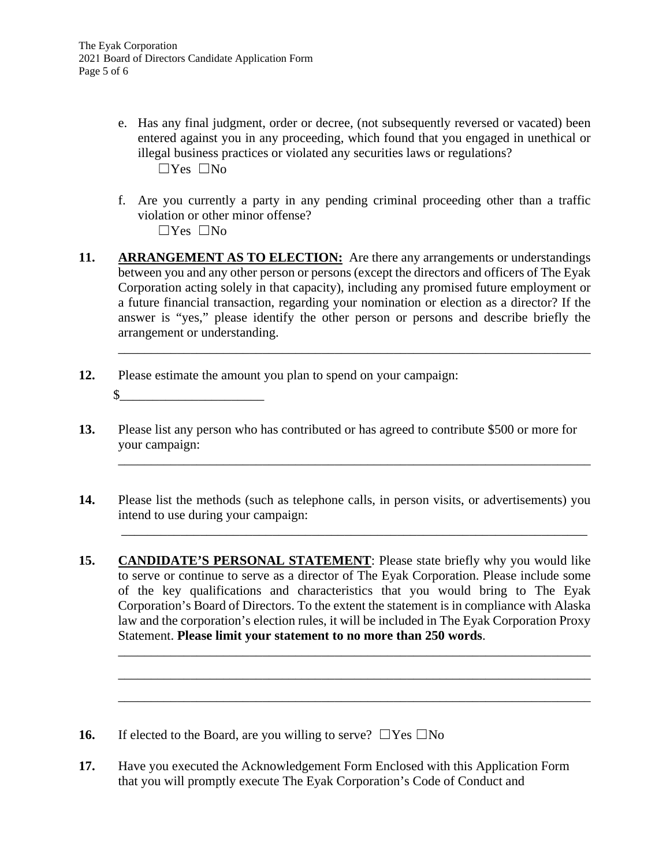- e. Has any final judgment, order or decree, (not subsequently reversed or vacated) been entered against you in any proceeding, which found that you engaged in unethical or illegal business practices or violated any securities laws or regulations? ☐Yes ☐No
- f. Are you currently a party in any pending criminal proceeding other than a traffic violation or other minor offense? ☐Yes ☐No
- **11. ARRANGEMENT AS TO ELECTION:** Are there any arrangements or understandings between you and any other person or persons (except the directors and officers of The Eyak Corporation acting solely in that capacity), including any promised future employment or a future financial transaction, regarding your nomination or election as a director? If the answer is "yes," please identify the other person or persons and describe briefly the arrangement or understanding.

\_\_\_\_\_\_\_\_\_\_\_\_\_\_\_\_\_\_\_\_\_\_\_\_\_\_\_\_\_\_\_\_\_\_\_\_\_\_\_\_\_\_\_\_\_\_\_\_\_\_\_\_\_\_\_\_\_\_\_\_\_\_\_\_\_\_\_\_\_\_\_\_

\_\_\_\_\_\_\_\_\_\_\_\_\_\_\_\_\_\_\_\_\_\_\_\_\_\_\_\_\_\_\_\_\_\_\_\_\_\_\_\_\_\_\_\_\_\_\_\_\_\_\_\_\_\_\_\_\_\_\_\_\_\_\_\_\_\_\_\_\_\_\_\_

\_\_\_\_\_\_\_\_\_\_\_\_\_\_\_\_\_\_\_\_\_\_\_\_\_\_\_\_\_\_\_\_\_\_\_\_\_\_\_\_\_\_\_\_\_\_\_\_\_\_\_\_\_\_\_\_\_\_\_\_\_\_\_\_\_\_\_\_\_\_\_

\_\_\_\_\_\_\_\_\_\_\_\_\_\_\_\_\_\_\_\_\_\_\_\_\_\_\_\_\_\_\_\_\_\_\_\_\_\_\_\_\_\_\_\_\_\_\_\_\_\_\_\_\_\_\_\_\_\_\_\_\_\_\_\_\_\_\_\_\_\_\_\_

\_\_\_\_\_\_\_\_\_\_\_\_\_\_\_\_\_\_\_\_\_\_\_\_\_\_\_\_\_\_\_\_\_\_\_\_\_\_\_\_\_\_\_\_\_\_\_\_\_\_\_\_\_\_\_\_\_\_\_\_\_\_\_\_\_\_\_\_\_\_\_\_

- **12.** Please estimate the amount you plan to spend on your campaign:  $\sim$
- **13.** Please list any person who has contributed or has agreed to contribute \$500 or more for your campaign:
- **14.** Please list the methods (such as telephone calls, in person visits, or advertisements) you intend to use during your campaign:
- **15. CANDIDATE'S PERSONAL STATEMENT**: Please state briefly why you would like to serve or continue to serve as a director of The Eyak Corporation. Please include some of the key qualifications and characteristics that you would bring to The Eyak Corporation's Board of Directors. To the extent the statement is in compliance with Alaska law and the corporation's election rules, it will be included in The Eyak Corporation Proxy Statement. **Please limit your statement to no more than 250 words**.

**16.** If elected to the Board, are you willing to serve?  $\Box$  Yes  $\Box$  No

**17.** Have you executed the Acknowledgement Form Enclosed with this Application Form that you will promptly execute The Eyak Corporation's Code of Conduct and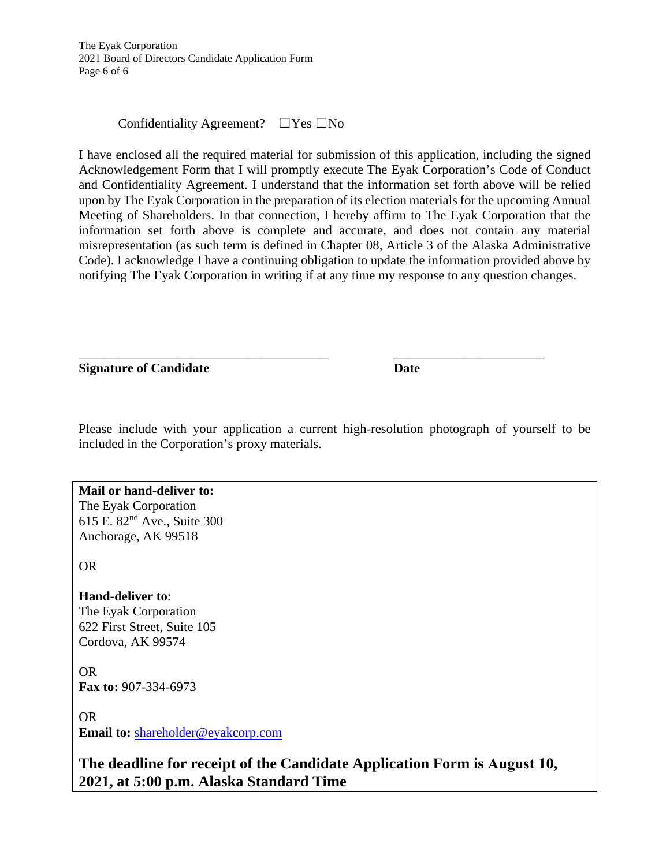#### Confidentiality Agreement?  $□$ Yes  $□$ No

I have enclosed all the required material for submission of this application, including the signed Acknowledgement Form that I will promptly execute The Eyak Corporation's Code of Conduct and Confidentiality Agreement. I understand that the information set forth above will be relied upon by The Eyak Corporation in the preparation of its election materials for the upcoming Annual Meeting of Shareholders. In that connection, I hereby affirm to The Eyak Corporation that the information set forth above is complete and accurate, and does not contain any material misrepresentation (as such term is defined in Chapter 08, Article 3 of the Alaska Administrative Code). I acknowledge I have a continuing obligation to update the information provided above by notifying The Eyak Corporation in writing if at any time my response to any question changes.

**Signature of Candidate Date** 

Please include with your application a current high-resolution photograph of yourself to be included in the Corporation's proxy materials.

\_\_\_\_\_\_\_\_\_\_\_\_\_\_\_\_\_\_\_\_\_\_\_\_\_\_\_\_\_\_\_\_\_\_\_\_\_\_ \_\_\_\_\_\_\_\_\_\_\_\_\_\_\_\_\_\_\_\_\_\_\_

**Mail or hand-deliver to:** 

The Eyak Corporation 615 E. 82nd Ave., Suite 300 Anchorage, AK 99518

OR

**Hand-deliver to**: The Eyak Corporation 622 First Street, Suite 105 Cordova, AK 99574

OR **Fax to:** 907-334-6973

OR **Email to:** [shareholder@eyakcorp.com](mailto:shareholder@eyakcorp.com)

**The deadline for receipt of the Candidate Application Form is August 10, 2021, at 5:00 p.m. Alaska Standard Time**